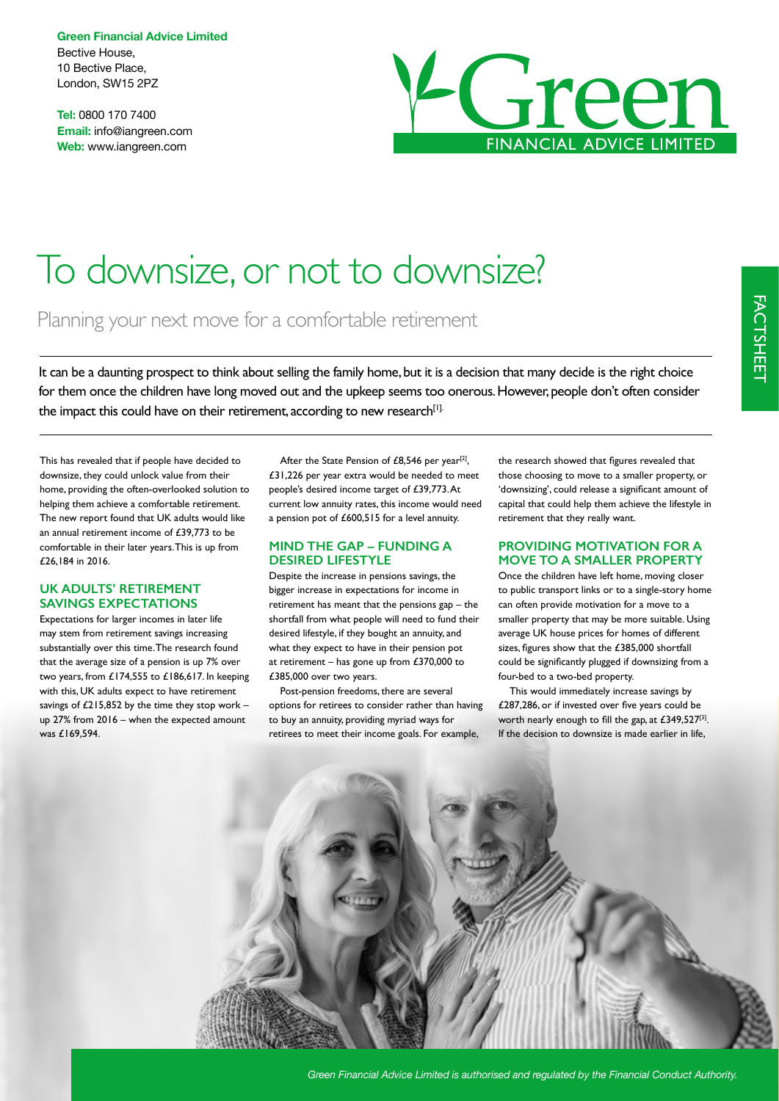**Green Financial Advice Limited** Bective House, 10 Bective Place, London, SW15 2PZ

**Tel:** 0800 170 7400 **Email:** info@iangreen.com **Web:** www.iangreen.com



# To downsize, or not to downsize?

Planning your next move for a comfortable retirement

It can be a daunting prospect to think about selling the family home, but it is a decision that many decide is the right choice for them once the children have long moved out and the upkeep seems too onerous. However, people don't often consider the impact this could have on their retirement, according to new research<sup>[1].</sup>

This has revealed that if people have decided to downsize, they could unlock value from their home, providing the often-overlooked solution to helping them achieve a comfortable retirement. The new report found that UK adults would like an annual retirement income of £39,773 to be comfortable in their later years. This is up from £26,184 in 2016.

#### **UK ADULTS' RETIREMENT SAVINGS EXPECTATIONS**

Expectations for larger incomes in later life may stem from retirement savings increasing substantially over this time. The research found that the average size of a pension is up 7% over two years, from £174,555 to £186,617. In keeping with this, UK adults expect to have retirement savings of  $£215,852$  by the time they stop work up 27% from 2016 – when the expected amount was £169,594.

After the State Pension of £8,546 per year<sup>[2]</sup>, £31,226 per year extra would be needed to meet people's desired income target of £39,773. At current low annuity rates, this income would need a pension pot of £600,515 for a level annuity.

#### **MIND THE GAP – FUNDING A DESIRED LIFESTYLE**

Despite the increase in pensions savings, the bigger increase in expectations for income in retirement has meant that the pensions gap – the shortfall from what people will need to fund their desired lifestyle, if they bought an annuity, and what they expect to have in their pension pot at retirement – has gone up from  $£370,000$  to £385,000 over two years.

Post-pension freedoms, there are several options for retirees to consider rather than having to buy an annuity, providing myriad ways for retirees to meet their income goals. For example,

the research showed that fgures revealed that those choosing to move to a smaller property, or 'downsizing', could release a signifcant amount of capital that could help them achieve the lifestyle in retirement that they really want.

#### **PROVIDING MOTIVATION FOR A MOVE TO A SMALLER PROPERTY**

Once the children have left home, moving closer to public transport links or to a single-story home can often provide motivation for a move to a smaller property that may be more suitable. Using average UK house prices for homes of different sizes, fgures show that the £385,000 shortfall could be signifcantly plugged if downsizing from a four-bed to a two-bed property.

This would immediately increase savings by £287,286, or if invested over fve years could be worth nearly enough to fill the gap, at £349,527[3]. If the decision to downsize is made earlier in life,